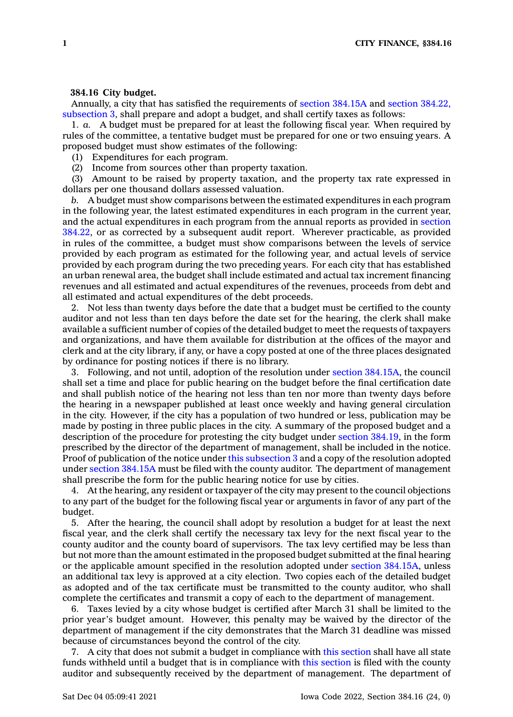## **384.16 City budget.**

Annually, <sup>a</sup> city that has satisfied the requirements of section [384.15A](https://www.legis.iowa.gov/docs/code/384.15A.pdf) and section [384.22,](https://www.legis.iowa.gov/docs/code/384.22.pdf) [subsection](https://www.legis.iowa.gov/docs/code/384.22.pdf) 3, shall prepare and adopt <sup>a</sup> budget, and shall certify taxes as follows:

1. *a.* A budget must be prepared for at least the following fiscal year. When required by rules of the committee, <sup>a</sup> tentative budget must be prepared for one or two ensuing years. A proposed budget must show estimates of the following:

(1) Expenditures for each program.

(2) Income from sources other than property taxation.

(3) Amount to be raised by property taxation, and the property tax rate expressed in dollars per one thousand dollars assessed valuation.

*b.* A budget must show comparisons between the estimated expenditures in each program in the following year, the latest estimated expenditures in each program in the current year, and the actual expenditures in each program from the annual reports as provided in [section](https://www.legis.iowa.gov/docs/code/384.22.pdf) [384.22](https://www.legis.iowa.gov/docs/code/384.22.pdf), or as corrected by <sup>a</sup> subsequent audit report. Wherever practicable, as provided in rules of the committee, <sup>a</sup> budget must show comparisons between the levels of service provided by each program as estimated for the following year, and actual levels of service provided by each program during the two preceding years. For each city that has established an urban renewal area, the budget shall include estimated and actual tax increment financing revenues and all estimated and actual expenditures of the revenues, proceeds from debt and all estimated and actual expenditures of the debt proceeds.

2. Not less than twenty days before the date that <sup>a</sup> budget must be certified to the county auditor and not less than ten days before the date set for the hearing, the clerk shall make available <sup>a</sup> sufficient number of copies of the detailed budget to meet the requests of taxpayers and organizations, and have them available for distribution at the offices of the mayor and clerk and at the city library, if any, or have <sup>a</sup> copy posted at one of the three places designated by ordinance for posting notices if there is no library.

3. Following, and not until, adoption of the resolution under section [384.15A](https://www.legis.iowa.gov/docs/code/384.15A.pdf), the council shall set <sup>a</sup> time and place for public hearing on the budget before the final certification date and shall publish notice of the hearing not less than ten nor more than twenty days before the hearing in <sup>a</sup> newspaper published at least once weekly and having general circulation in the city. However, if the city has <sup>a</sup> population of two hundred or less, publication may be made by posting in three public places in the city. A summary of the proposed budget and <sup>a</sup> description of the procedure for protesting the city budget under section [384.19](https://www.legis.iowa.gov/docs/code/384.19.pdf), in the form prescribed by the director of the department of management, shall be included in the notice. Proof of publication of the notice under this [subsection](https://www.legis.iowa.gov/docs/code/384.16.pdf) 3 and <sup>a</sup> copy of the resolution adopted under section [384.15A](https://www.legis.iowa.gov/docs/code/384.15A.pdf) must be filed with the county auditor. The department of management shall prescribe the form for the public hearing notice for use by cities.

4. At the hearing, any resident or taxpayer of the city may present to the council objections to any part of the budget for the following fiscal year or arguments in favor of any part of the budget.

5. After the hearing, the council shall adopt by resolution <sup>a</sup> budget for at least the next fiscal year, and the clerk shall certify the necessary tax levy for the next fiscal year to the county auditor and the county board of supervisors. The tax levy certified may be less than but not more than the amount estimated in the proposed budget submitted at the final hearing or the applicable amount specified in the resolution adopted under section [384.15A](https://www.legis.iowa.gov/docs/code/384.15A.pdf), unless an additional tax levy is approved at <sup>a</sup> city election. Two copies each of the detailed budget as adopted and of the tax certificate must be transmitted to the county auditor, who shall complete the certificates and transmit <sup>a</sup> copy of each to the department of management.

6. Taxes levied by <sup>a</sup> city whose budget is certified after March 31 shall be limited to the prior year's budget amount. However, this penalty may be waived by the director of the department of management if the city demonstrates that the March 31 deadline was missed because of circumstances beyond the control of the city.

7. A city that does not submit <sup>a</sup> budget in compliance with this [section](https://www.legis.iowa.gov/docs/code/384.16.pdf) shall have all state funds withheld until <sup>a</sup> budget that is in compliance with this [section](https://www.legis.iowa.gov/docs/code/384.16.pdf) is filed with the county auditor and subsequently received by the department of management. The department of